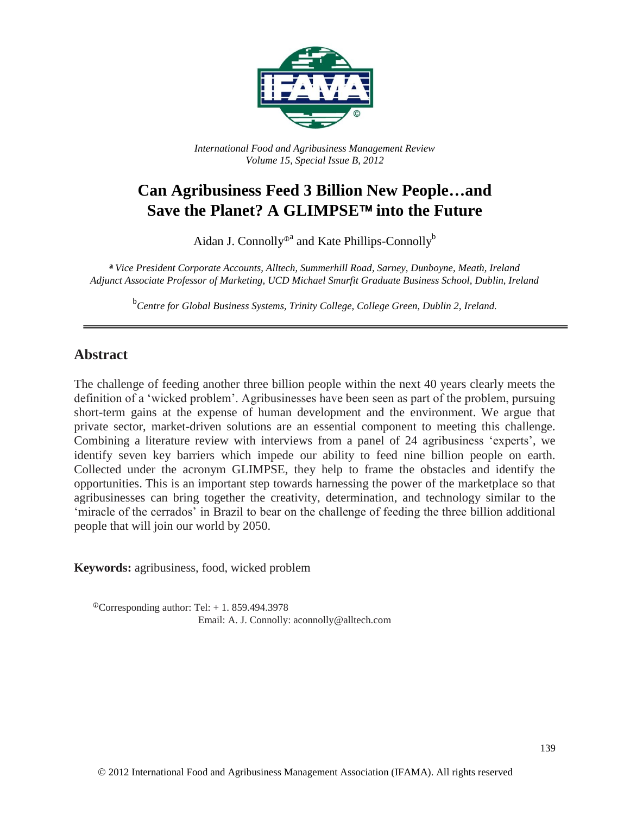

*International Food and Agribusiness Management Review Volume 15, Special Issue B, 2012*

# **Can Agribusiness Feed 3 Billion New People…and**  Save the Planet? A GLIMPSE<sup>™</sup> into the Future

Aidan J. Connolly<sup>®</sup> and Kate Phillips-Connolly<sup>b</sup>

**a** *Vice President Corporate Accounts, Alltech, Summerhill Road, Sarney, Dunboyne, Meath, Ireland Adjunct Associate Professor of Marketing, UCD Michael Smurfit Graduate Business School, Dublin, Ireland*

b *Centre for Global Business Systems, Trinity College, College Green, Dublin 2, Ireland.*

#### **Abstract**

The challenge of feeding another three billion people within the next 40 years clearly meets the definition of a 'wicked problem'. Agribusinesses have been seen as part of the problem, pursuing short-term gains at the expense of human development and the environment. We argue that private sector, market-driven solutions are an essential component to meeting this challenge. Combining a literature review with interviews from a panel of 24 agribusiness 'experts', we identify seven key barriers which impede our ability to feed nine billion people on earth. Collected under the acronym GLIMPSE, they help to frame the obstacles and identify the opportunities. This is an important step towards harnessing the power of the marketplace so that agribusinesses can bring together the creativity, determination, and technology similar to the 'miracle of the cerrados' in Brazil to bear on the challenge of feeding the three billion additional people that will join our world by 2050.

**Keywords:** agribusiness, food, wicked problem

 $^{\circ}$ Corresponding author: Tel: + 1.859.494.3978 Email: A. J. Connolly: aconnolly@alltech.com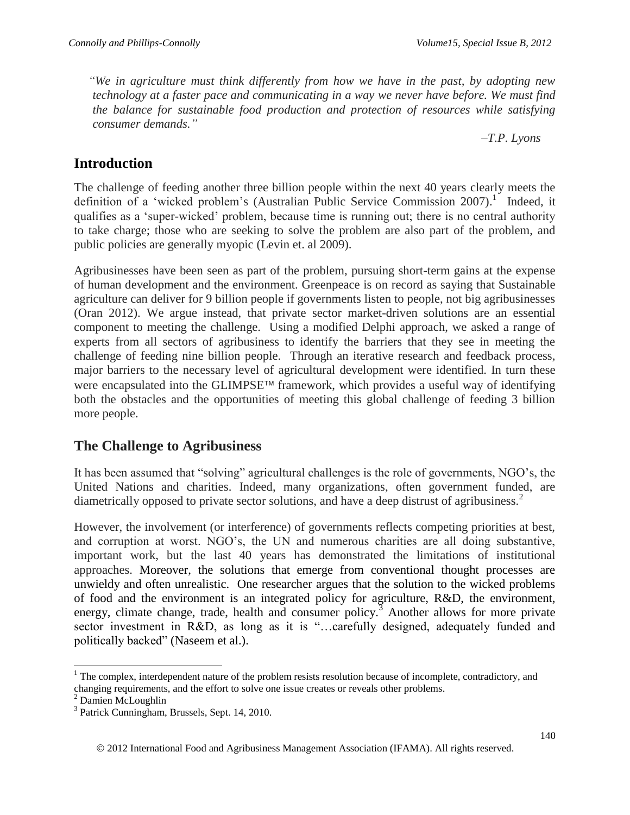*"We in agriculture must think differently from how we have in the past, by adopting new technology at a faster pace and communicating in a way we never have before. We must find the balance for sustainable food production and protection of resources while satisfying consumer demands."*

*–T.P. Lyons*

## **Introduction**

The challenge of feeding another three billion people within the next 40 years clearly meets the definition of a 'wicked problem's (Australian Public Service Commission 2007).<sup>1</sup> Indeed, it qualifies as a 'super-wicked' problem, because time is running out; there is no central authority to take charge; those who are seeking to solve the problem are also part of the problem, and public policies are generally myopic (Levin et. al 2009).

Agribusinesses have been seen as part of the problem, pursuing short-term gains at the expense of human development and the environment. Greenpeace is on record as saying that Sustainable agriculture can deliver for 9 billion people if governments listen to people, not big agribusinesses (Oran 2012). We argue instead, that private sector market-driven solutions are an essential component to meeting the challenge. Using a modified Delphi approach, we asked a range of experts from all sectors of agribusiness to identify the barriers that they see in meeting the challenge of feeding nine billion people. Through an iterative research and feedback process, major barriers to the necessary level of agricultural development were identified. In turn these were encapsulated into the GLIMPSE<sup>TM</sup> framework, which provides a useful way of identifying both the obstacles and the opportunities of meeting this global challenge of feeding 3 billion more people.

## **The Challenge to Agribusiness**

It has been assumed that "solving" agricultural challenges is the role of governments, NGO's, the United Nations and charities. Indeed, many organizations, often government funded, are diametrically opposed to private sector solutions, and have a deep distrust of agribusiness.<sup>2</sup>

However, the involvement (or interference) of governments reflects competing priorities at best, and corruption at worst. NGO's, the UN and numerous charities are all doing substantive, important work, but the last 40 years has demonstrated the limitations of institutional approaches. Moreover, the solutions that emerge from conventional thought processes are unwieldy and often unrealistic. One researcher argues that the solution to the wicked problems of food and the environment is an integrated policy for agriculture, R&D, the environment, energy, climate change, trade, health and consumer policy.<sup>3</sup> Another allows for more private sector investment in R&D, as long as it is "...carefully designed, adequately funded and politically backed" (Naseem et al.).

 $\overline{a}$  $<sup>1</sup>$  The complex, interdependent nature of the problem resists resolution because of incomplete, contradictory, and</sup> changing requirements, and the effort to solve one issue creates or reveals other problems.

<sup>2</sup> Damien McLoughlin

<sup>3</sup> Patrick Cunningham, Brussels, Sept. 14, 2010.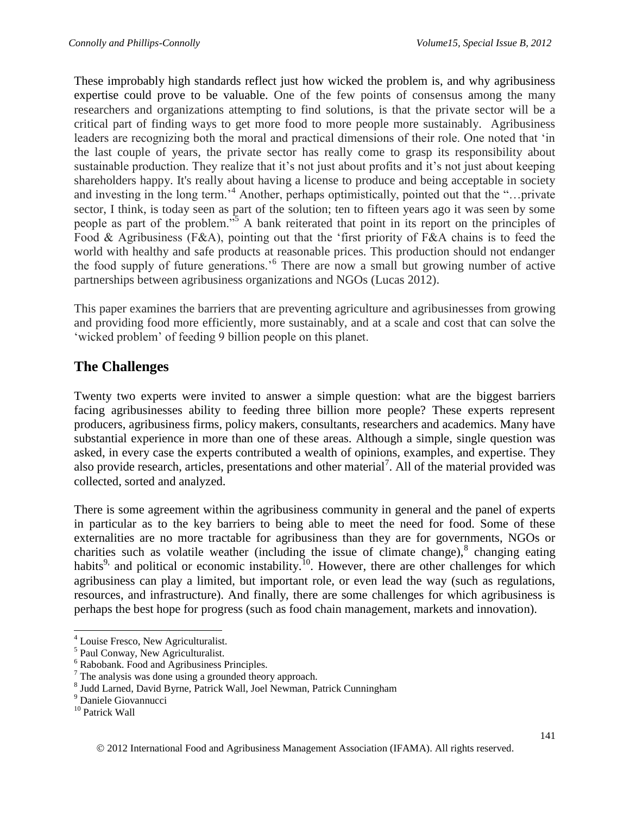These improbably high standards reflect just how wicked the problem is, and why agribusiness expertise could prove to be valuable. One of the few points of consensus among the many researchers and organizations attempting to find solutions, is that the private sector will be a critical part of finding ways to get more food to more people more sustainably. Agribusiness leaders are recognizing both the moral and practical dimensions of their role. One noted that 'in the last couple of years, the private sector has really come to grasp its responsibility about sustainable production. They realize that it's not just about profits and it's not just about keeping shareholders happy. It's really about having a license to produce and being acceptable in society and investing in the long term.'<sup>4</sup> Another, perhaps optimistically, pointed out that the "…private sector, I think, is today seen as part of the solution; ten to fifteen years ago it was seen by some people as part of the problem."<sup>5</sup> A bank reiterated that point in its report on the principles of Food & Agribusiness (F&A), pointing out that the 'first priority of F&A chains is to feed the world with healthy and safe products at reasonable prices. This production should not endanger the food supply of future generations.'<sup>6</sup> There are now a small but growing number of active partnerships between agribusiness organizations and NGOs (Lucas 2012).

This paper examines the barriers that are preventing agriculture and agribusinesses from growing and providing food more efficiently, more sustainably, and at a scale and cost that can solve the 'wicked problem' of feeding 9 billion people on this planet.

### **The Challenges**

Twenty two experts were invited to answer a simple question: what are the biggest barriers facing agribusinesses ability to feeding three billion more people? These experts represent producers, agribusiness firms, policy makers, consultants, researchers and academics. Many have substantial experience in more than one of these areas. Although a simple, single question was asked, in every case the experts contributed a wealth of opinions, examples, and expertise. They also provide research, articles, presentations and other material<sup>7</sup>. All of the material provided was collected, sorted and analyzed.

There is some agreement within the agribusiness community in general and the panel of experts in particular as to the key barriers to being able to meet the need for food. Some of these externalities are no more tractable for agribusiness than they are for governments, NGOs or charities such as volatile weather (including the issue of climate change), $8$  changing eating habits<sup>9,</sup> and political or economic instability.<sup>10</sup>. However, there are other challenges for which agribusiness can play a limited, but important role, or even lead the way (such as regulations, resources, and infrastructure). And finally, there are some challenges for which agribusiness is perhaps the best hope for progress (such as food chain management, markets and innovation).

l <sup>4</sup> Louise Fresco, New Agriculturalist.

<sup>5</sup> Paul Conway, New Agriculturalist.

<sup>6</sup> Rabobank. Food and Agribusiness Principles.

<sup>7</sup> The analysis was done using a grounded theory approach.

<sup>8</sup> Judd Larned, David Byrne, Patrick Wall, Joel Newman, Patrick Cunningham

<sup>&</sup>lt;sup>9</sup> Daniele Giovannucci

<sup>&</sup>lt;sup>10</sup> Patrick Wall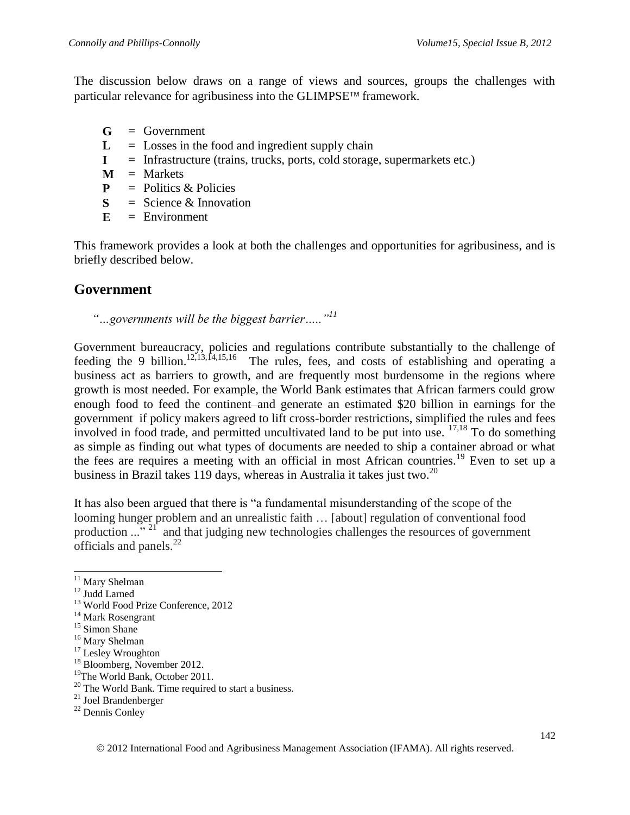The discussion below draws on a range of views and sources, groups the challenges with particular relevance for agribusiness into the GLIMPSE<sup> $m$ </sup> framework.

- **G** = Government
- $L =$  Losses in the food and ingredient supply chain
- $I =$  Infrastructure (trains, trucks, ports, cold storage, supermarkets etc.)
- $M =$ Markets
- **P** = Politics & Policies
- **S** = Science & Innovation
- $E =$  Environment

This framework provides a look at both the challenges and opportunities for agribusiness, and is briefly described below.

### **Government**

*"…governments will be the biggest barrier….."<sup>11</sup>*

Government bureaucracy, policies and regulations contribute substantially to the challenge of feeding the 9 billion.<sup>12,13,14,15,16</sup> The rules, fees, and costs of establishing and operating a business act as barriers to growth, and are frequently most burdensome in the regions where growth is most needed. For example, the World Bank estimates that African farmers could grow enough food to feed the continent–and generate an estimated \$20 billion in earnings for the government if policy makers agreed to lift cross-border restrictions, simplified the rules and fees involved in food trade, and permitted uncultivated land to be put into use. 17,18 To do something as simple as finding out what types of documents are needed to ship a container abroad or what the fees are requires a meeting with an official in most African countries.<sup>19</sup> Even to set up a business in Brazil takes 119 days, whereas in Australia it takes just two.<sup>20</sup>

It has also been argued that there is "a fundamental misunderstanding of the scope of the looming hunger problem and an unrealistic faith … [about] regulation of conventional food production ..."<sup>21</sup> and that judging new technologies challenges the resources of government officials and panels. $^{22}$ 

 $\overline{\phantom{a}}$ 

<sup>&</sup>lt;sup>11</sup> Mary Shelman

<sup>12</sup> Judd Larned

<sup>&</sup>lt;sup>13</sup> World Food Prize Conference, 2012

<sup>&</sup>lt;sup>14</sup> Mark Rosengrant

<sup>&</sup>lt;sup>15</sup> Simon Shane

<sup>16</sup> Mary Shelman

<sup>&</sup>lt;sup>17</sup> Lesley Wroughton

<sup>18</sup> Bloomberg, November 2012.

<sup>19</sup>The World Bank, October 2011.

<sup>20</sup> The World Bank. Time required to start a business.

<sup>21</sup> Joel Brandenberger

<sup>22</sup> Dennis Conley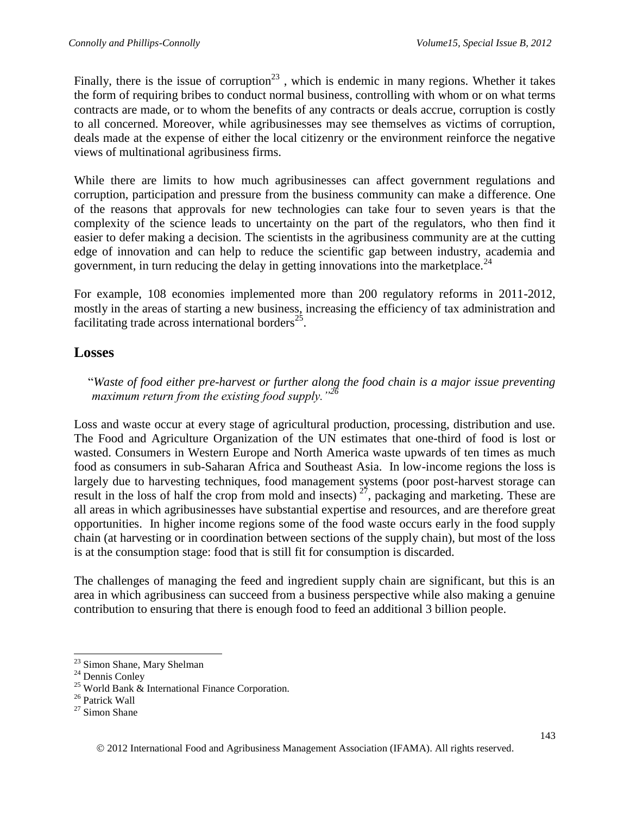Finally, there is the issue of corruption<sup>23</sup>, which is endemic in many regions. Whether it takes the form of requiring bribes to conduct normal business, controlling with whom or on what terms contracts are made, or to whom the benefits of any contracts or deals accrue, corruption is costly to all concerned. Moreover, while agribusinesses may see themselves as victims of corruption, deals made at the expense of either the local citizenry or the environment reinforce the negative views of multinational agribusiness firms.

While there are limits to how much agribusinesses can affect government regulations and corruption, participation and pressure from the business community can make a difference. One of the reasons that approvals for new technologies can take four to seven years is that the complexity of the science leads to uncertainty on the part of the regulators, who then find it easier to defer making a decision. The scientists in the agribusiness community are at the cutting edge of innovation and can help to reduce the scientific gap between industry, academia and government, in turn reducing the delay in getting innovations into the marketplace.<sup>24</sup>

For example, 108 economies implemented more than 200 regulatory reforms in 2011-2012, mostly in the areas of starting a new business, increasing the efficiency of tax administration and facilitating trade across international borders<sup>25</sup>.

### **Losses**

"*Waste of food either pre-harvest or further along the food chain is a major issue preventing maximum return from the existing food supply."<sup>26</sup>*

Loss and waste occur at every stage of agricultural production, processing, distribution and use. The Food and Agriculture Organization of the UN estimates that one-third of food is lost or wasted. Consumers in Western Europe and North America waste upwards of ten times as much food as consumers in sub-Saharan Africa and Southeast Asia. In low-income regions the loss is largely due to harvesting techniques, food management systems (poor post-harvest storage can result in the loss of half the crop from mold and insects)  $2^7$ , packaging and marketing. These are all areas in which agribusinesses have substantial expertise and resources, and are therefore great opportunities. In higher income regions some of the food waste occurs early in the food supply chain (at harvesting or in coordination between sections of the supply chain), but most of the loss is at the consumption stage: food that is still fit for consumption is discarded.

The challenges of managing the feed and ingredient supply chain are significant, but this is an area in which agribusiness can succeed from a business perspective while also making a genuine contribution to ensuring that there is enough food to feed an additional 3 billion people.

 $\overline{\phantom{a}}$ 

<sup>&</sup>lt;sup>23</sup> Simon Shane, Mary Shelman

<sup>24</sup> Dennis Conley

<sup>&</sup>lt;sup>25</sup> World Bank & International Finance Corporation.

<sup>26</sup> Patrick Wall

 $27$  Simon Shane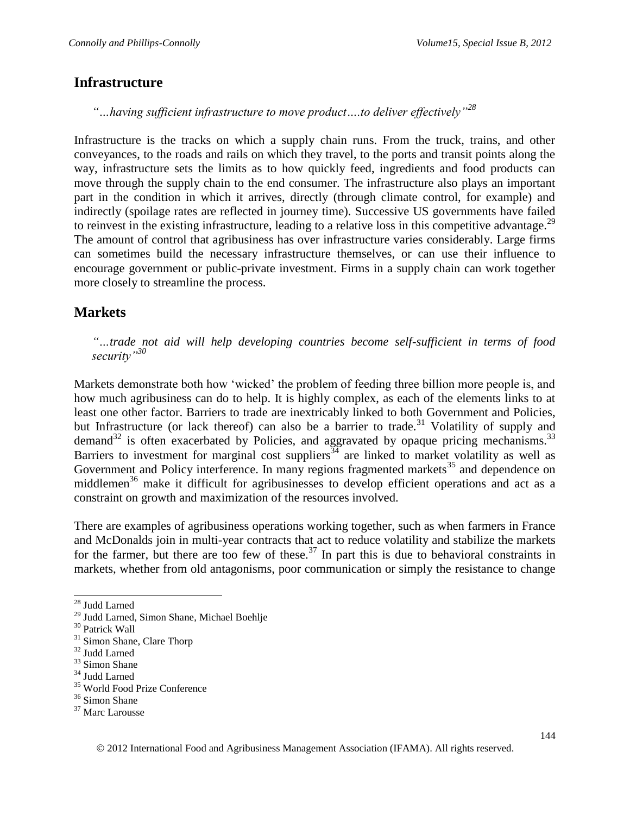#### **Infrastructure**

*"…having sufficient infrastructure to move product….to deliver effectively"<sup>28</sup>*

Infrastructure is the tracks on which a supply chain runs. From the truck, trains, and other conveyances, to the roads and rails on which they travel, to the ports and transit points along the way, infrastructure sets the limits as to how quickly feed, ingredients and food products can move through the supply chain to the end consumer. The infrastructure also plays an important part in the condition in which it arrives, directly (through climate control, for example) and indirectly (spoilage rates are reflected in journey time). Successive US governments have failed to reinvest in the existing infrastructure, leading to a relative loss in this competitive advantage.<sup>29</sup> The amount of control that agribusiness has over infrastructure varies considerably. Large firms can sometimes build the necessary infrastructure themselves, or can use their influence to encourage government or public-private investment. Firms in a supply chain can work together more closely to streamline the process.

### **Markets**

*"…trade not aid will help developing countries become self-sufficient in terms of food security"<sup>30</sup>*

Markets demonstrate both how 'wicked' the problem of feeding three billion more people is, and how much agribusiness can do to help. It is highly complex, as each of the elements links to at least one other factor. Barriers to trade are inextricably linked to both Government and Policies, but Infrastructure (or lack thereof) can also be a barrier to trade.<sup>31</sup> Volatility of supply and demand $32$  is often exacerbated by Policies, and aggravated by opaque pricing mechanisms.<sup>33</sup> Barriers to investment for marginal cost suppliers  $34$  are linked to market volatility as well as Government and Policy interference. In many regions fragmented markets<sup>35</sup> and dependence on middlemen<sup>36</sup> make it difficult for agribusinesses to develop efficient operations and act as a constraint on growth and maximization of the resources involved.

There are examples of agribusiness operations working together, such as when farmers in France and McDonalds join in multi-year contracts that act to reduce volatility and stabilize the markets for the farmer, but there are too few of these.<sup>37</sup> In part this is due to behavioral constraints in markets, whether from old antagonisms, poor communication or simply the resistance to change

<sup>35</sup> World Food Prize Conference

l <sup>28</sup> Judd Larned

<sup>29</sup> Judd Larned, Simon Shane, Michael Boehlje

<sup>30</sup> Patrick Wall

<sup>&</sup>lt;sup>31</sup> Simon Shane, Clare Thorp

<sup>&</sup>lt;sup>32</sup> Judd Larned

<sup>&</sup>lt;sup>33</sup> Simon Shane

<sup>34</sup> Judd Larned

<sup>&</sup>lt;sup>36</sup> Simon Shane

<sup>&</sup>lt;sup>37</sup> Marc Larousse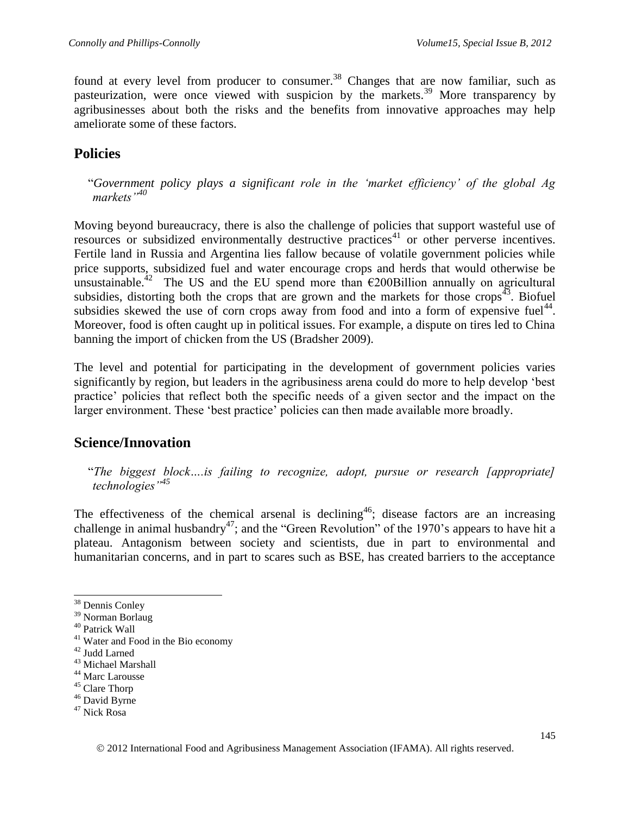found at every level from producer to consumer.<sup>38</sup> Changes that are now familiar, such as pasteurization, were once viewed with suspicion by the markets.<sup>39</sup> More transparency by agribusinesses about both the risks and the benefits from innovative approaches may help ameliorate some of these factors.

#### **Policies**

"*Government policy plays a significant role in the 'market efficiency' of the global Ag markets"<sup>40</sup>*

Moving beyond bureaucracy, there is also the challenge of policies that support wasteful use of resources or subsidized environmentally destructive practices<sup>41</sup> or other perverse incentives. Fertile land in Russia and Argentina lies fallow because of volatile government policies while price supports, subsidized fuel and water encourage crops and herds that would otherwise be unsustainable.<sup>42</sup> The US and the EU spend more than  $\epsilon$ 200Billion annually on agricultural subsidies, distorting both the crops that are grown and the markets for those crops<sup> $43$ </sup>. Biofuel subsidies skewed the use of corn crops away from food and into a form of expensive fuel<sup>44</sup>. Moreover, food is often caught up in political issues. For example, a dispute on tires led to China banning the import of chicken from the US (Bradsher 2009).

The level and potential for participating in the development of government policies varies significantly by region, but leaders in the agribusiness arena could do more to help develop 'best practice' policies that reflect both the specific needs of a given sector and the impact on the larger environment. These 'best practice' policies can then made available more broadly.

#### **Science/Innovation**

"*The biggest block….is failing to recognize, adopt, pursue or research [appropriate] technologies"<sup>45</sup>*

The effectiveness of the chemical arsenal is declining<sup>46</sup>; disease factors are an increasing challenge in animal husbandry<sup>47</sup>; and the "Green Revolution" of the 1970's appears to have hit a plateau. Antagonism between society and scientists, due in part to environmental and humanitarian concerns, and in part to scares such as BSE, has created barriers to the acceptance

l

<sup>44</sup> Marc Larousse

<sup>46</sup> David Byrne

<sup>&</sup>lt;sup>38</sup> Dennis Conley

<sup>&</sup>lt;sup>39</sup> Norman Borlaug

<sup>40</sup> Patrick Wall

<sup>41</sup> Water and Food in the Bio economy

<sup>42</sup> Judd Larned

<sup>43</sup> Michael Marshall

<sup>45</sup> Clare Thorp

<sup>47</sup> Nick Rosa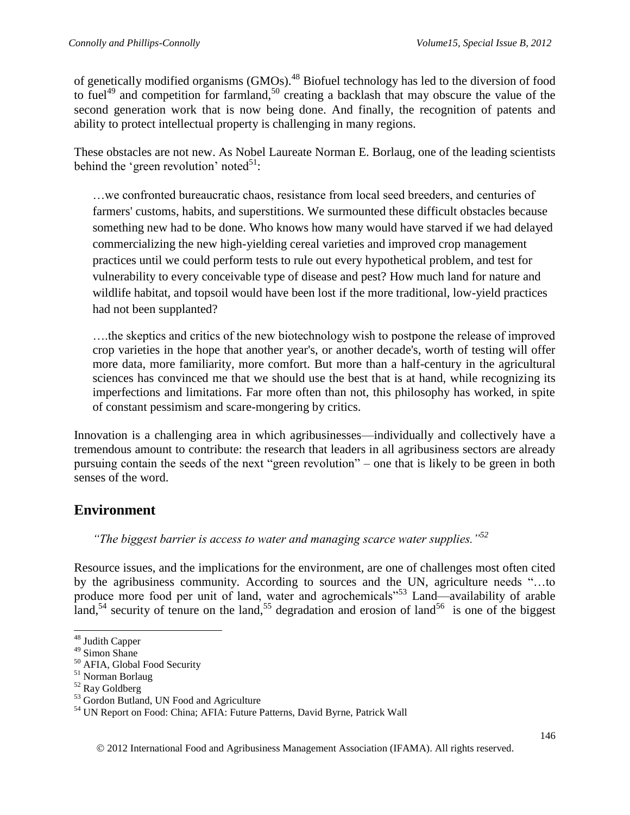of genetically modified organisms (GMOs).<sup>48</sup> Biofuel technology has led to the diversion of food to fuel<sup>49</sup> and competition for farmland,<sup>50</sup> creating a backlash that may obscure the value of the second generation work that is now being done. And finally, the recognition of patents and ability to protect intellectual property is challenging in many regions.

These obstacles are not new. As Nobel Laureate Norman E. Borlaug, one of the leading scientists behind the 'green revolution' noted<sup>51</sup>:

…we confronted bureaucratic chaos, resistance from local seed breeders, and centuries of farmers' customs, habits, and superstitions. We surmounted these difficult obstacles because something new had to be done. Who knows how many would have starved if we had delayed commercializing the new high-yielding cereal varieties and improved crop management practices until we could perform tests to rule out every hypothetical problem, and test for vulnerability to every conceivable type of disease and pest? How much land for nature and wildlife habitat, and topsoil would have been lost if the more traditional, low-yield practices had not been supplanted?

….the skeptics and critics of the new biotechnology wish to postpone the release of improved crop varieties in the hope that another year's, or another decade's, worth of testing will offer more data, more familiarity, more comfort. But more than a half-century in the agricultural sciences has convinced me that we should use the best that is at hand, while recognizing its imperfections and limitations. Far more often than not, this philosophy has worked, in spite of constant pessimism and scare-mongering by critics.

Innovation is a challenging area in which agribusinesses—individually and collectively have a tremendous amount to contribute: the research that leaders in all agribusiness sectors are already pursuing contain the seeds of the next "green revolution" – one that is likely to be green in both senses of the word.

### **Environment**

*"The biggest barrier is access to water and managing scarce water supplies."<sup>52</sup>*

Resource issues, and the implications for the environment, are one of challenges most often cited by the agribusiness community. According to sources and the UN, agriculture needs "…to produce more food per unit of land, water and agrochemicals"<sup>53</sup> Land—availability of arable land,<sup>54</sup> security of tenure on the land,<sup>55</sup> degradation and erosion of land<sup>56</sup> is one of the biggest

l <sup>48</sup> Judith Capper

<sup>&</sup>lt;sup>49</sup> Simon Shane

<sup>50</sup> AFIA, Global Food Security

<sup>51</sup> Norman Borlaug

<sup>52</sup> Ray Goldberg

<sup>&</sup>lt;sup>53</sup> Gordon Butland, UN Food and Agriculture

<sup>54</sup> UN Report on Food: China; AFIA: Future Patterns, David Byrne, Patrick Wall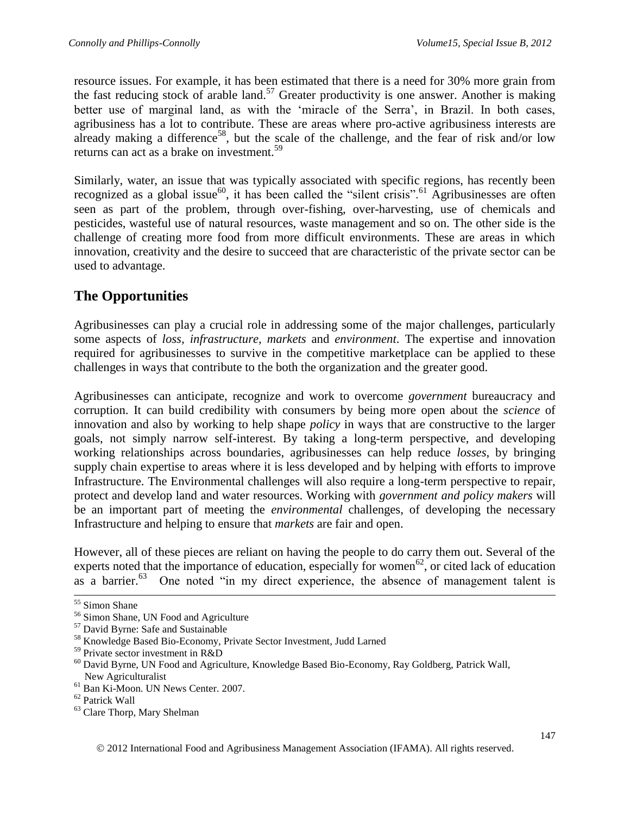resource issues. For example, it has been estimated that there is a need for 30% more grain from the fast reducing stock of arable land.<sup>57</sup> Greater productivity is one answer. Another is making better use of marginal land, as with the 'miracle of the Serra', in Brazil. In both cases, agribusiness has a lot to contribute. These are areas where pro-active agribusiness interests are already making a difference<sup>58</sup>, but the scale of the challenge, and the fear of risk and/or low returns can act as a brake on investment.<sup>59</sup>

Similarly, water, an issue that was typically associated with specific regions, has recently been recognized as a global issue<sup>60</sup>, it has been called the "silent crisis".<sup>61</sup> Agribusinesses are often seen as part of the problem, through over-fishing, over-harvesting, use of chemicals and pesticides, wasteful use of natural resources, waste management and so on. The other side is the challenge of creating more food from more difficult environments. These are areas in which innovation, creativity and the desire to succeed that are characteristic of the private sector can be used to advantage.

## **The Opportunities**

Agribusinesses can play a crucial role in addressing some of the major challenges, particularly some aspects of *loss, infrastructure, markets* and *environment*. The expertise and innovation required for agribusinesses to survive in the competitive marketplace can be applied to these challenges in ways that contribute to the both the organization and the greater good.

Agribusinesses can anticipate, recognize and work to overcome *government* bureaucracy and corruption. It can build credibility with consumers by being more open about the *science* of innovation and also by working to help shape *policy* in ways that are constructive to the larger goals, not simply narrow self-interest. By taking a long-term perspective, and developing working relationships across boundaries, agribusinesses can help reduce *losses*, by bringing supply chain expertise to areas where it is less developed and by helping with efforts to improve Infrastructure. The Environmental challenges will also require a long-term perspective to repair, protect and develop land and water resources. Working with *government and policy makers* will be an important part of meeting the *environmental* challenges, of developing the necessary Infrastructure and helping to ensure that *markets* are fair and open.

However, all of these pieces are reliant on having the people to do carry them out. Several of the experts noted that the importance of education, especially for women<sup>62</sup>, or cited lack of education as a barrier. $63$ One noted "in my direct experience, the absence of management talent is

l

<sup>55</sup> Simon Shane

<sup>56</sup> Simon Shane, UN Food and Agriculture

<sup>57</sup> David Byrne: Safe and Sustainable

<sup>58</sup> Knowledge Based Bio-Economy, Private Sector Investment, Judd Larned

 $59$  Private sector investment in R&D

<sup>60</sup> David Byrne, UN Food and Agriculture, Knowledge Based Bio-Economy, Ray Goldberg, Patrick Wall, New Agriculturalist

<sup>61</sup> Ban Ki-Moon. UN News Center. 2007.

<sup>62</sup> Patrick Wall

<sup>63</sup> Clare Thorp, Mary Shelman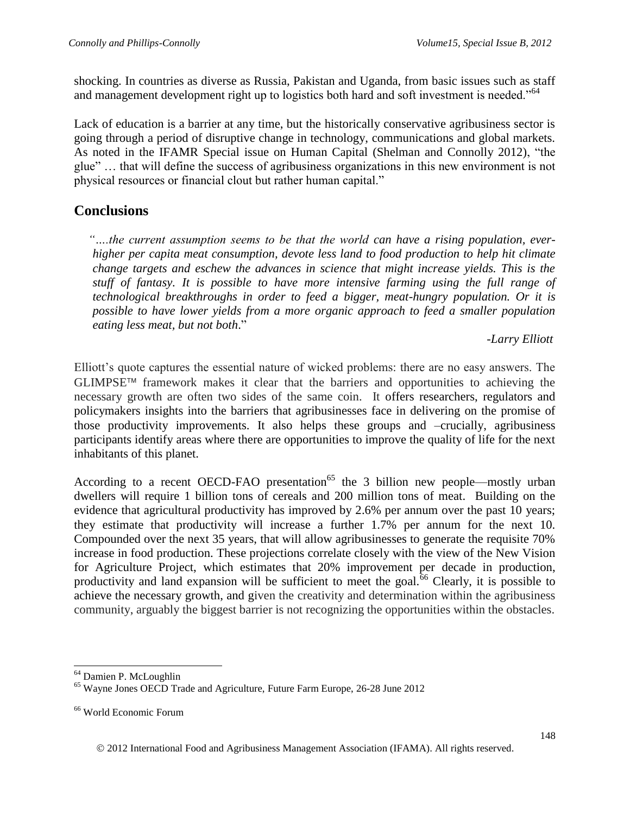shocking. In countries as diverse as Russia, Pakistan and Uganda, from basic issues such as staff and management development right up to logistics both hard and soft investment is needed."<sup>64</sup>

Lack of education is a barrier at any time, but the historically conservative agribusiness sector is going through a period of disruptive change in technology, communications and global markets. As noted in the IFAMR Special issue on Human Capital (Shelman and Connolly 2012), "the glue" … that will define the success of agribusiness organizations in this new environment is not physical resources or financial clout but rather human capital."

#### **Conclusions**

*"….the current assumption seems to be that the world can have a rising population, everhigher per capita meat consumption, devote less land to food production to help hit climate change targets and eschew the advances in science that might increase yields. This is the stuff of fantasy. It is possible to have more intensive farming using the full range of technological breakthroughs in order to feed a bigger, meat-hungry population. Or it is possible to have lower yields from a more organic approach to feed a smaller population eating less meat, but not both*."

#### *-Larry Elliott*

Elliott's quote captures the essential nature of wicked problems: there are no easy answers. The  $GLIMPSE<sup>TM</sup>$  framework makes it clear that the barriers and opportunities to achieving the necessary growth are often two sides of the same coin. It offers researchers, regulators and policymakers insights into the barriers that agribusinesses face in delivering on the promise of those productivity improvements. It also helps these groups and –crucially, agribusiness participants identify areas where there are opportunities to improve the quality of life for the next inhabitants of this planet.

According to a recent OECD-FAO presentation<sup>65</sup> the 3 billion new people—mostly urban dwellers will require 1 billion tons of cereals and 200 million tons of meat. Building on the evidence that agricultural productivity has improved by 2.6% per annum over the past 10 years; they estimate that productivity will increase a further 1.7% per annum for the next 10. Compounded over the next 35 years, that will allow agribusinesses to generate the requisite 70% increase in food production. These projections correlate closely with the view of the New Vision for Agriculture Project, which estimates that 20% improvement per decade in production, productivity and land expansion will be sufficient to meet the goal. $66$  Clearly, it is possible to achieve the necessary growth, and given the creativity and determination within the agribusiness community, arguably the biggest barrier is not recognizing the opportunities within the obstacles.

 $\overline{a}$ 

<sup>64</sup> Damien P. McLoughlin

<sup>65</sup> Wayne Jones OECD Trade and Agriculture, Future Farm Europe, 26-28 June 2012

<sup>66</sup> World Economic Forum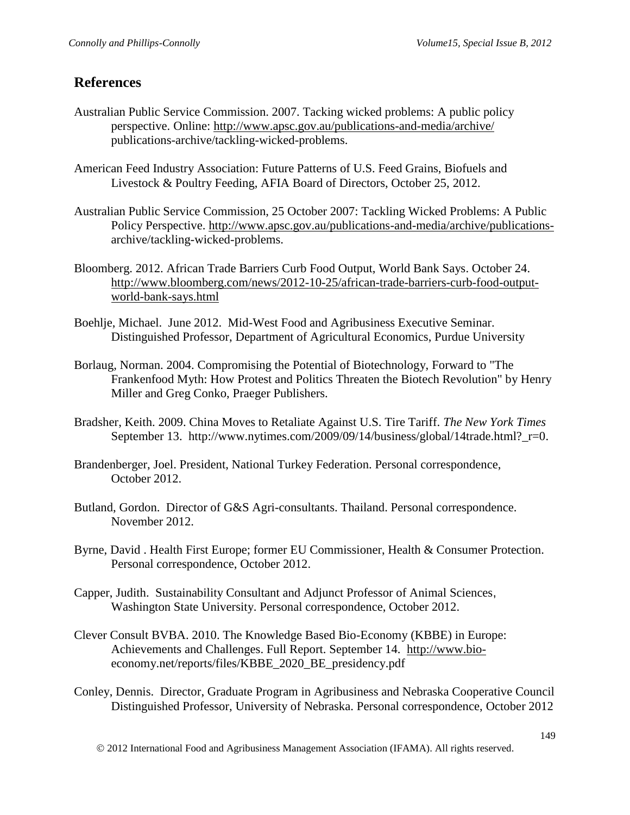### **References**

- Australian Public Service Commission. 2007. Tacking wicked problems: A public policy perspective. Online:<http://www.apsc.gov.au/publications-and-media/archive/> publications-archive/tackling-wicked-problems.
- American Feed Industry Association: Future Patterns of U.S. Feed Grains, Biofuels and Livestock & Poultry Feeding, AFIA Board of Directors, October 25, 2012.
- Australian Public Service Commission, 25 October 2007: Tackling Wicked Problems: A Public Policy Perspective. [http://www.apsc.gov.au/publications-and-media/archive/publications](http://www.apsc.gov.au/publications-and-media/archive/publications-)archive/tackling-wicked-problems.
- Bloomberg. 2012. African Trade Barriers Curb Food Output, World Bank Says. October 24. [http://www.bloomberg.com/news/2012-10-25/african-trade-barriers-curb-food-output](http://www.bloomberg.com/news/2012-10-25/african-trade-barriers-curb-food-output-world-bank-says.html)[world-bank-says.html](http://www.bloomberg.com/news/2012-10-25/african-trade-barriers-curb-food-output-world-bank-says.html)
- Boehlje, Michael. June 2012. Mid-West Food and Agribusiness Executive Seminar. Distinguished Professor, Department of Agricultural Economics, Purdue University
- Borlaug, Norman. 2004. Compromising the Potential of Biotechnology, Forward to "The Frankenfood Myth: How Protest and Politics Threaten the Biotech Revolution" by Henry Miller and Greg Conko, Praeger Publishers.
- Bradsher, Keith. 2009. China Moves to Retaliate Against U.S. Tire Tariff. *The New York Times* September 13. http://www.nytimes.com/2009/09/14/business/global/14trade.html?\_r=0.
- Brandenberger, Joel. President, National Turkey Federation. Personal correspondence, October 2012.
- Butland, Gordon. Director of G&S Agri-consultants. Thailand. Personal correspondence. November 2012.
- Byrne, David . Health First Europe; former EU Commissioner, Health & Consumer Protection. Personal correspondence, October 2012.
- Capper, Judith. Sustainability Consultant and Adjunct Professor of Animal Sciences, Washington State University. Personal correspondence, October 2012.
- Clever Consult BVBA. 2010. The Knowledge Based Bio-Economy (KBBE) in Europe: Achievements and Challenges. Full Report. September 14. [http://www.bio](http://www.bio-/)economy.net/reports/files/KBBE\_2020\_BE\_presidency.pdf
- Conley, Dennis. Director, Graduate Program in Agribusiness and Nebraska Cooperative Council Distinguished Professor, University of Nebraska. Personal correspondence, October 2012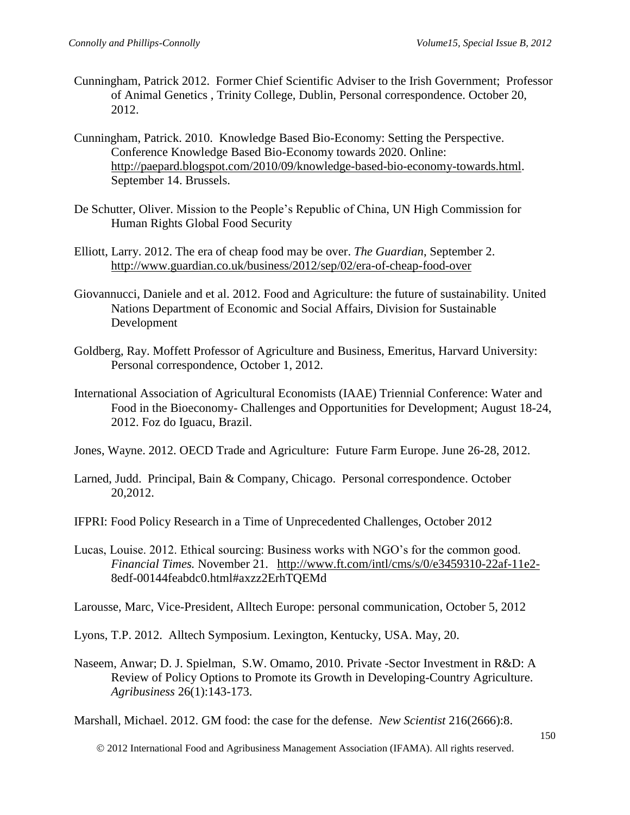- Cunningham, Patrick 2012. Former Chief Scientific Adviser to the Irish Government; Professor of Animal Genetics , Trinity College, Dublin, Personal correspondence. October 20, 2012.
- Cunningham, Patrick. 2010. Knowledge Based Bio-Economy: Setting the Perspective. Conference Knowledge Based Bio-Economy towards 2020. Online: [http://paepard.blogspot.com/2010/09/knowledge-based-bio-economy-towards.html.](http://paepard.blogspot.com/2010/09/knowledge-based-bio-economy-towards.html) September 14. Brussels.
- De Schutter, Oliver. Mission to the People's Republic of China, UN High Commission for Human Rights Global Food Security
- Elliott, Larry. 2012. The era of cheap food may be over. *The Guardian*, September 2. <http://www.guardian.co.uk/business/2012/sep/02/era-of-cheap-food-over>
- Giovannucci, Daniele and et al. 2012. Food and Agriculture: the future of sustainability. United Nations Department of Economic and Social Affairs, Division for Sustainable Development
- Goldberg, Ray. Moffett Professor of Agriculture and Business, Emeritus, Harvard University: Personal correspondence, October 1, 2012.
- International Association of Agricultural Economists (IAAE) Triennial Conference: Water and Food in the Bioeconomy- Challenges and Opportunities for Development; August 18-24, 2012. Foz do Iguacu, Brazil.
- Jones, Wayne. 2012. OECD Trade and Agriculture: Future Farm Europe. June 26-28, 2012.
- Larned, Judd. Principal, Bain & Company, Chicago. Personal correspondence. October 20,2012.
- IFPRI: Food Policy Research in a Time of Unprecedented Challenges, October 2012
- Lucas, Louise. 2012. Ethical sourcing: Business works with NGO's for the common good. *Financial Times.* November 21. <http://www.ft.com/intl/cms/s/0/e3459310-22af-11e2-> 8edf-00144feabdc0.html#axzz2ErhTQEMd

Larousse, Marc, Vice-President, Alltech Europe: personal communication, October 5, 2012

- Lyons, T.P. 2012. Alltech Symposium. Lexington, Kentucky, USA. May, 20.
- Naseem, Anwar; D. J. Spielman, S.W. Omamo, 2010. Private -Sector Investment in R&D: A Review of Policy Options to Promote its Growth in Developing-Country Agriculture. *Agribusiness* 26(1):143-173.

Marshall, Michael. 2012. GM food: the case for the defense. *New Scientist* 216(2666):8.

2012 International Food and Agribusiness Management Association (IFAMA). All rights reserved.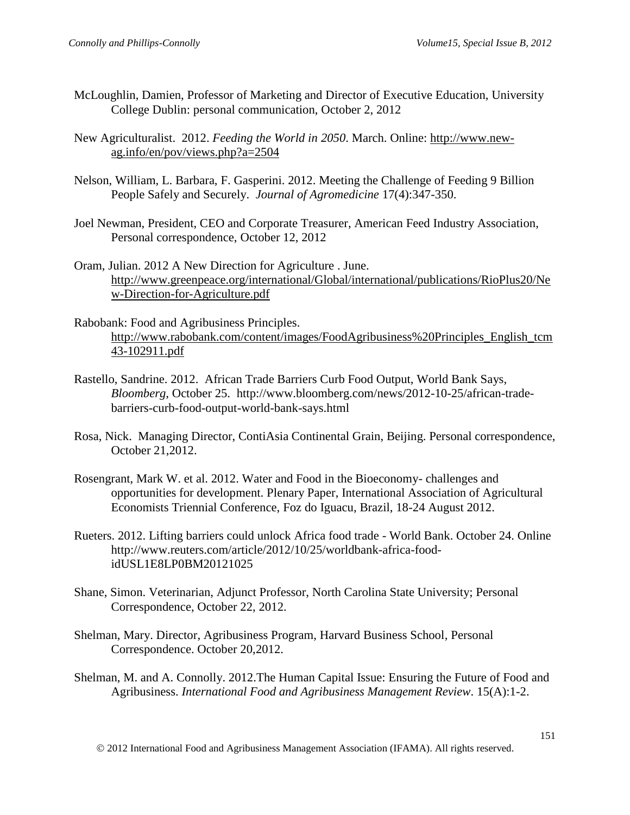- McLoughlin, Damien, Professor of Marketing and Director of Executive Education, University College Dublin: personal communication, October 2, 2012
- New Agriculturalist. 2012. *Feeding the World in 2050*. March. Online: [http://www.new](http://www.new-ag.info/en/pov/views.php?a=2504)[ag.info/en/pov/views.php?a=2504](http://www.new-ag.info/en/pov/views.php?a=2504)
- Nelson, William, L. Barbara, F. Gasperini. 2012. Meeting the Challenge of Feeding 9 Billion People Safely and Securely. *Journal of Agromedicine* 17(4):347-350.
- Joel Newman, President, CEO and Corporate Treasurer, American Feed Industry Association, Personal correspondence, October 12, 2012
- Oram, Julian. 2012 A New Direction for Agriculture . June. [http://www.greenpeace.org/international/Global/international/publications/RioPlus20/Ne](http://www.greenpeace.org/international/Global/international/publications/RioPlus20/New-Direction-for-Agriculture.pdf) [w-Direction-for-Agriculture.pdf](http://www.greenpeace.org/international/Global/international/publications/RioPlus20/New-Direction-for-Agriculture.pdf)
- Rabobank: Food and Agribusiness Principles. [http://www.rabobank.com/content/images/FoodAgribusiness%20Principles\\_English\\_tcm](http://www.rabobank.com/content/images/FoodAgribusiness%20Principles_English_tcm43-102911.pdf) [43-102911.pdf](http://www.rabobank.com/content/images/FoodAgribusiness%20Principles_English_tcm43-102911.pdf)
- Rastello, Sandrine. 2012. African Trade Barriers Curb Food Output, World Bank Says, *Bloomberg*, October 25. http://www.bloomberg.com/news/2012-10-25/african-tradebarriers-curb-food-output-world-bank-says.html
- Rosa, Nick. Managing Director, ContiAsia Continental Grain, Beijing. Personal correspondence, October 21,2012.
- Rosengrant, Mark W. et al. 2012. Water and Food in the Bioeconomy- challenges and opportunities for development. Plenary Paper, International Association of Agricultural Economists Triennial Conference, Foz do Iguacu, Brazil, 18-24 August 2012.
- Rueters. 2012. Lifting barriers could unlock Africa food trade World Bank. October 24. Online http://www.reuters.com/article/2012/10/25/worldbank-africa-foodidUSL1E8LP0BM20121025
- Shane, Simon. Veterinarian, Adjunct Professor, North Carolina State University; Personal Correspondence, October 22, 2012.
- Shelman, Mary. Director, Agribusiness Program, Harvard Business School, Personal Correspondence. October 20,2012.
- Shelman, M. and A. Connolly. 2012.The Human Capital Issue: Ensuring the Future of Food and Agribusiness. *International Food and Agribusiness Management Review*. 15(A):1-2.